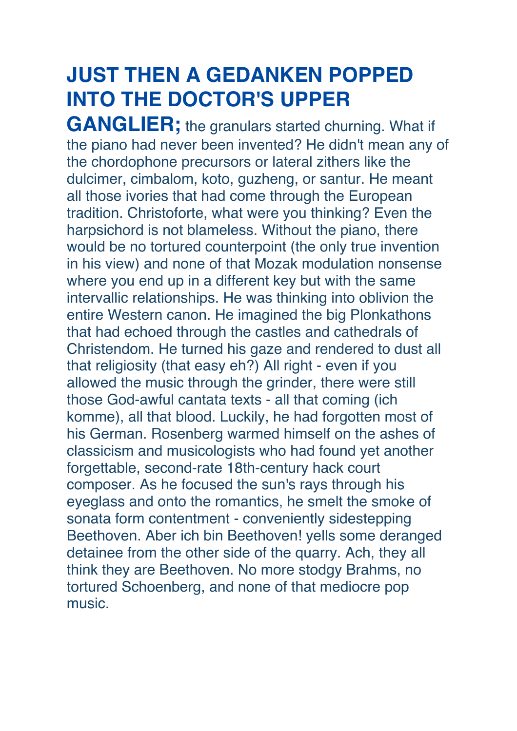## **JUST THEN A GEDANKEN POPPED INTO THE DOCTOR'S UPPER**

**GANGLIER;** the granulars started churning. What if the piano had never been invented? He didn't mean any of the chordophone precursors or lateral zithers like the dulcimer, cimbalom, koto, guzheng, or santur. He meant all those ivories that had come through the European tradition. Christoforte, what were you thinking? Even the harpsichord is not blameless. Without the piano, there would be no tortured counterpoint (the only true invention in his view) and none of that Mozak modulation nonsense where you end up in a different key but with the same intervallic relationships. He was thinking into oblivion the entire Western canon. He imagined the big Plonkathons that had echoed through the castles and cathedrals of Christendom. He turned his gaze and rendered to dust all that religiosity (that easy eh?) All right - even if you allowed the music through the grinder, there were still those God-awful cantata texts - all that coming (ich komme), all that blood. Luckily, he had forgotten most of his German. Rosenberg warmed himself on the ashes of classicism and musicologists who had found yet another forgettable, second-rate 18th-century hack court composer. As he focused the sun's rays through his eyeglass and onto the romantics, he smelt the smoke of sonata form contentment - conveniently sidestepping Beethoven. Aber ich bin Beethoven! yells some deranged detainee from the other side of the quarry. Ach, they all think they are Beethoven. No more stodgy Brahms, no tortured Schoenberg, and none of that mediocre pop music.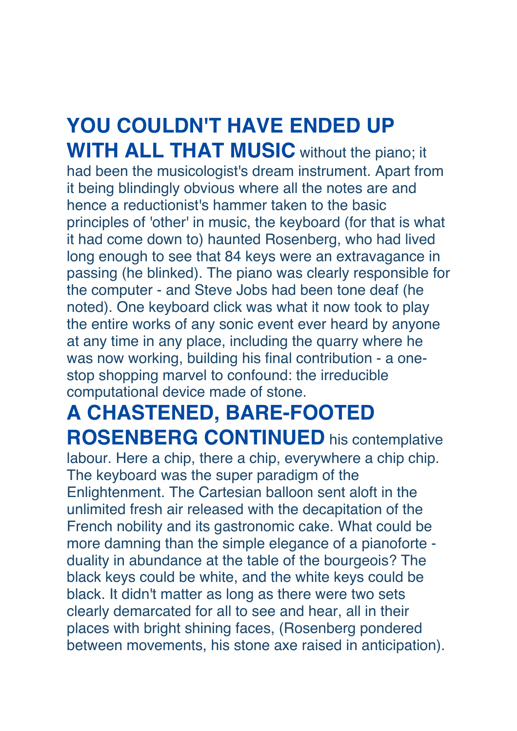## **YOU COULDN'T HAVE ENDED UP WITH ALL THAT MUSIC** without the piano; it

had been the musicologist's dream instrument. Apart from it being blindingly obvious where all the notes are and hence a reductionist's hammer taken to the basic principles of 'other' in music, the keyboard (for that is what it had come down to) haunted Rosenberg, who had lived long enough to see that 84 keys were an extravagance in passing (he blinked). The piano was clearly responsible for the computer - and Steve Jobs had been tone deaf (he noted). One keyboard click was what it now took to play the entire works of any sonic event ever heard by anyone at any time in any place, including the quarry where he was now working, building his final contribution - a onestop shopping marvel to confound: the irreducible computational device made of stone.

## **A CHASTENED, BARE-FOOTED ROSENBERG CONTINUED** his contemplative

labour. Here a chip, there a chip, everywhere a chip chip. The keyboard was the super paradigm of the Enlightenment. The Cartesian balloon sent aloft in the unlimited fresh air released with the decapitation of the French nobility and its gastronomic cake. What could be more damning than the simple elegance of a pianoforte duality in abundance at the table of the bourgeois? The black keys could be white, and the white keys could be black. It didn't matter as long as there were two sets clearly demarcated for all to see and hear, all in their places with bright shining faces, (Rosenberg pondered between movements, his stone axe raised in anticipation).